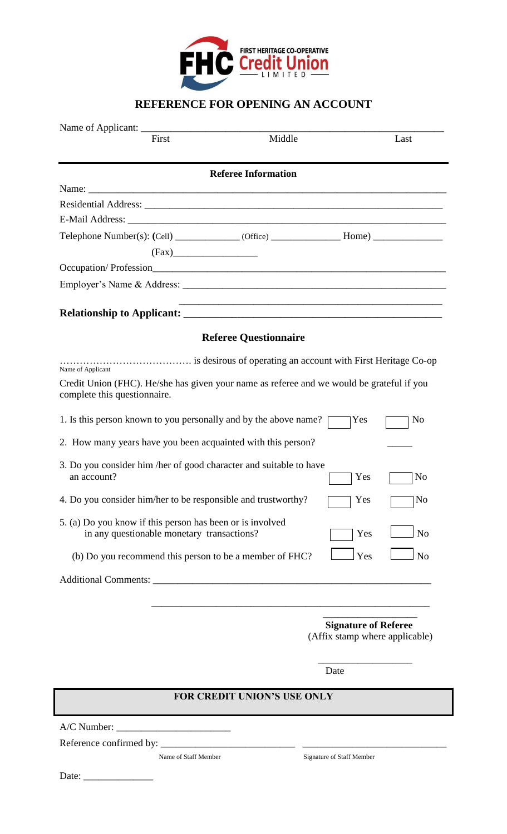

## **REFERENCE FOR OPENING AN ACCOUNT**

| Name of Applicant:                                                                                                                             |                                                                                                                  |                                                               |
|------------------------------------------------------------------------------------------------------------------------------------------------|------------------------------------------------------------------------------------------------------------------|---------------------------------------------------------------|
| First                                                                                                                                          | Middle                                                                                                           | Last                                                          |
|                                                                                                                                                | <b>Referee Information</b>                                                                                       |                                                               |
|                                                                                                                                                |                                                                                                                  |                                                               |
|                                                                                                                                                |                                                                                                                  |                                                               |
|                                                                                                                                                |                                                                                                                  |                                                               |
|                                                                                                                                                |                                                                                                                  |                                                               |
| (Fax)                                                                                                                                          |                                                                                                                  |                                                               |
|                                                                                                                                                |                                                                                                                  |                                                               |
|                                                                                                                                                |                                                                                                                  |                                                               |
|                                                                                                                                                | and the control of the control of the control of the control of the control of the control of the control of the |                                                               |
|                                                                                                                                                | <b>Referee Questionnaire</b>                                                                                     |                                                               |
|                                                                                                                                                |                                                                                                                  |                                                               |
| Name of Applicant<br>Credit Union (FHC). He/she has given your name as referee and we would be grateful if you<br>complete this questionnaire. |                                                                                                                  |                                                               |
| 1. Is this person known to you personally and by the above name?                                                                               |                                                                                                                  | Yes<br>N <sub>o</sub>                                         |
| 2. How many years have you been acquainted with this person?                                                                                   |                                                                                                                  |                                                               |
| 3. Do you consider him /her of good character and suitable to have<br>an account?                                                              |                                                                                                                  | Yes<br>No                                                     |
| 4. Do you consider him/her to be responsible and trustworthy?                                                                                  |                                                                                                                  | Yes<br>No                                                     |
| 5. (a) Do you know if this person has been or is involved<br>in any questionable monetary transactions?                                        |                                                                                                                  | N <sub>o</sub><br>Yes                                         |
| (b) Do you recommend this person to be a member of FHC?                                                                                        |                                                                                                                  | Yes<br>N <sub>o</sub>                                         |
|                                                                                                                                                |                                                                                                                  |                                                               |
|                                                                                                                                                |                                                                                                                  |                                                               |
|                                                                                                                                                |                                                                                                                  | <b>Signature of Referee</b><br>(Affix stamp where applicable) |
|                                                                                                                                                |                                                                                                                  | Date                                                          |
|                                                                                                                                                | <b>FOR CREDIT UNION'S USE ONLY</b>                                                                               |                                                               |
|                                                                                                                                                |                                                                                                                  |                                                               |
|                                                                                                                                                |                                                                                                                  |                                                               |
| Name of Staff Member                                                                                                                           |                                                                                                                  | Signature of Staff Member                                     |

Date: \_\_\_\_\_\_\_\_\_\_\_\_\_\_